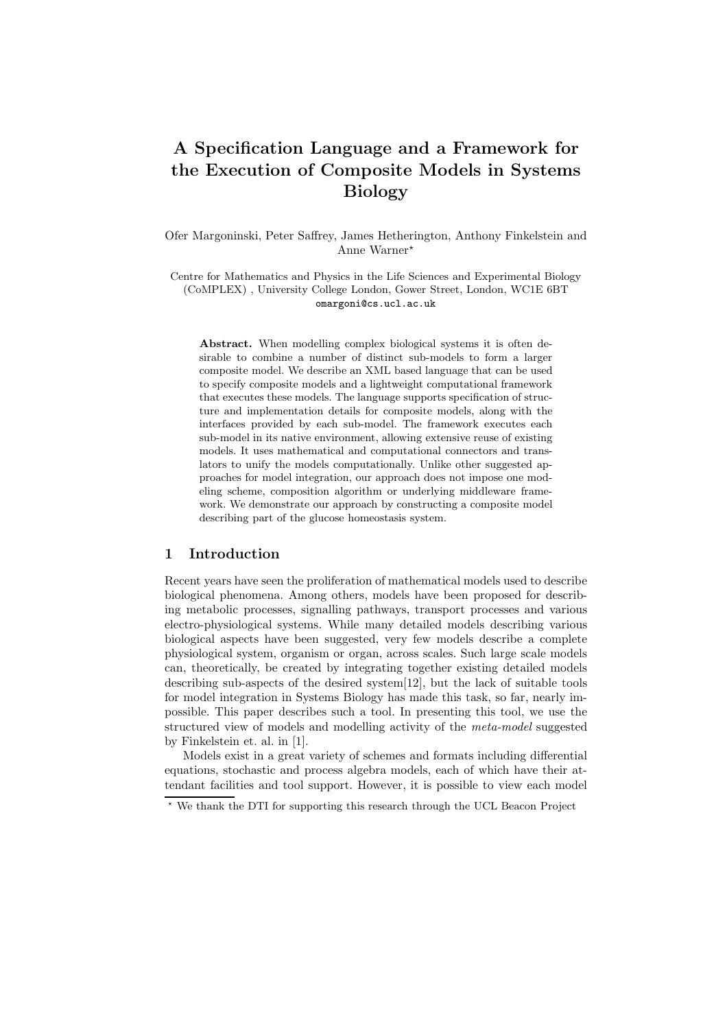# A Specification Language and a Framework for the Execution of Composite Models in Systems Biology

## Ofer Margoninski, Peter Saffrey, James Hetherington, Anthony Finkelstein and Anne Warner\*

Centre for Mathematics and Physics in the Life Sciences and Experimental Biology (CoMPLEX) , University College London, Gower Street, London, WC1E 6BT omargoni@cs.ucl.ac.uk

Abstract. When modelling complex biological systems it is often desirable to combine a number of distinct sub-models to form a larger composite model. We describe an XML based language that can be used to specify composite models and a lightweight computational framework that executes these models. The language supports specification of structure and implementation details for composite models, along with the interfaces provided by each sub-model. The framework executes each sub-model in its native environment, allowing extensive reuse of existing models. It uses mathematical and computational connectors and translators to unify the models computationally. Unlike other suggested approaches for model integration, our approach does not impose one modeling scheme, composition algorithm or underlying middleware framework. We demonstrate our approach by constructing a composite model describing part of the glucose homeostasis system.

## 1 Introduction

Recent years have seen the proliferation of mathematical models used to describe biological phenomena. Among others, models have been proposed for describing metabolic processes, signalling pathways, transport processes and various electro-physiological systems. While many detailed models describing various biological aspects have been suggested, very few models describe a complete physiological system, organism or organ, across scales. Such large scale models can, theoretically, be created by integrating together existing detailed models describing sub-aspects of the desired system[12], but the lack of suitable tools for model integration in Systems Biology has made this task, so far, nearly impossible. This paper describes such a tool. In presenting this tool, we use the structured view of models and modelling activity of the *meta-model* suggested by Finkelstein et. al. in [1].

Models exist in a great variety of schemes and formats including differential equations, stochastic and process algebra models, each of which have their attendant facilities and tool support. However, it is possible to view each model

<sup>!</sup> We thank the DTI for supporting this research through the UCL Beacon Project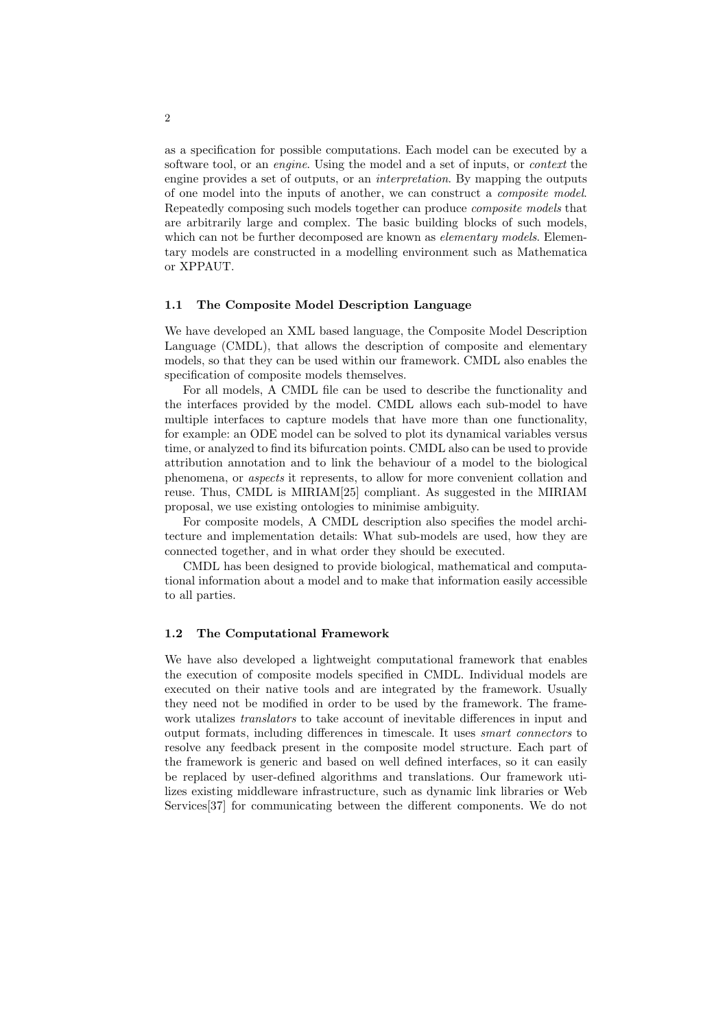as a specification for possible computations. Each model can be executed by a software tool, or an *engine*. Using the model and a set of inputs, or *context* the engine provides a set of outputs, or an interpretation. By mapping the outputs of one model into the inputs of another, we can construct a composite model. Repeatedly composing such models together can produce composite models that are arbitrarily large and complex. The basic building blocks of such models, which can not be further decomposed are known as *elementary models*. Elementary models are constructed in a modelling environment such as Mathematica or XPPAUT.

#### 1.1 The Composite Model Description Language

We have developed an XML based language, the Composite Model Description Language (CMDL), that allows the description of composite and elementary models, so that they can be used within our framework. CMDL also enables the specification of composite models themselves.

For all models, A CMDL file can be used to describe the functionality and the interfaces provided by the model. CMDL allows each sub-model to have multiple interfaces to capture models that have more than one functionality, for example: an ODE model can be solved to plot its dynamical variables versus time, or analyzed to find its bifurcation points. CMDL also can be used to provide attribution annotation and to link the behaviour of a model to the biological phenomena, or aspects it represents, to allow for more convenient collation and reuse. Thus, CMDL is MIRIAM[25] compliant. As suggested in the MIRIAM proposal, we use existing ontologies to minimise ambiguity.

For composite models, A CMDL description also specifies the model architecture and implementation details: What sub-models are used, how they are connected together, and in what order they should be executed.

CMDL has been designed to provide biological, mathematical and computational information about a model and to make that information easily accessible to all parties.

## 1.2 The Computational Framework

We have also developed a lightweight computational framework that enables the execution of composite models specified in CMDL. Individual models are executed on their native tools and are integrated by the framework. Usually they need not be modified in order to be used by the framework. The framework utalizes *translators* to take account of inevitable differences in input and output formats, including differences in timescale. It uses smart connectors to resolve any feedback present in the composite model structure. Each part of the framework is generic and based on well defined interfaces, so it can easily be replaced by user-defined algorithms and translations. Our framework utilizes existing middleware infrastructure, such as dynamic link libraries or Web Services[37] for communicating between the different components. We do not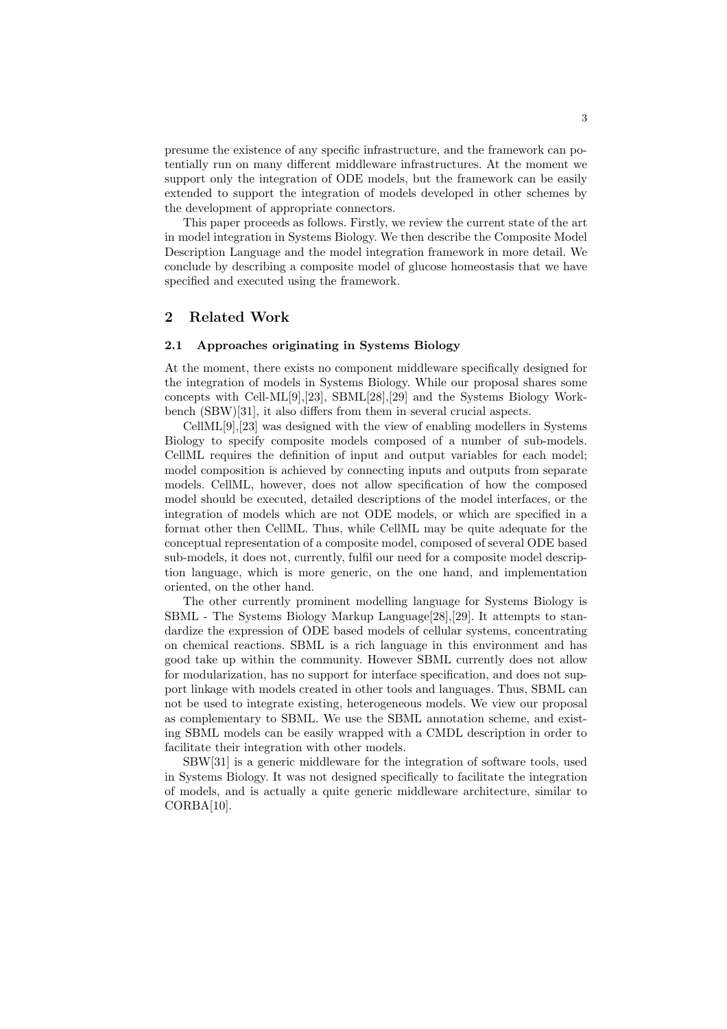presume the existence of any specific infrastructure, and the framework can potentially run on many different middleware infrastructures. At the moment we support only the integration of ODE models, but the framework can be easily extended to support the integration of models developed in other schemes by the development of appropriate connectors.

This paper proceeds as follows. Firstly, we review the current state of the art in model integration in Systems Biology. We then describe the Composite Model Description Language and the model integration framework in more detail. We conclude by describing a composite model of glucose homeostasis that we have specified and executed using the framework.

# 2 Related Work

#### 2.1 Approaches originating in Systems Biology

At the moment, there exists no component middleware specifically designed for the integration of models in Systems Biology. While our proposal shares some concepts with Cell-ML[9],[23], SBML[28],[29] and the Systems Biology Workbench (SBW)[31], it also differs from them in several crucial aspects.

CellML[9],[23] was designed with the view of enabling modellers in Systems Biology to specify composite models composed of a number of sub-models. CellML requires the definition of input and output variables for each model; model composition is achieved by connecting inputs and outputs from separate models. CellML, however, does not allow specification of how the composed model should be executed, detailed descriptions of the model interfaces, or the integration of models which are not ODE models, or which are specified in a format other then CellML. Thus, while CellML may be quite adequate for the conceptual representation of a composite model, composed of several ODE based sub-models, it does not, currently, fulfil our need for a composite model description language, which is more generic, on the one hand, and implementation oriented, on the other hand.

The other currently prominent modelling language for Systems Biology is SBML - The Systems Biology Markup Language[28],[29]. It attempts to standardize the expression of ODE based models of cellular systems, concentrating on chemical reactions. SBML is a rich language in this environment and has good take up within the community. However SBML currently does not allow for modularization, has no support for interface specification, and does not support linkage with models created in other tools and languages. Thus, SBML can not be used to integrate existing, heterogeneous models. We view our proposal as complementary to SBML. We use the SBML annotation scheme, and existing SBML models can be easily wrapped with a CMDL description in order to facilitate their integration with other models.

SBW[31] is a generic middleware for the integration of software tools, used in Systems Biology. It was not designed specifically to facilitate the integration of models, and is actually a quite generic middleware architecture, similar to CORBA[10].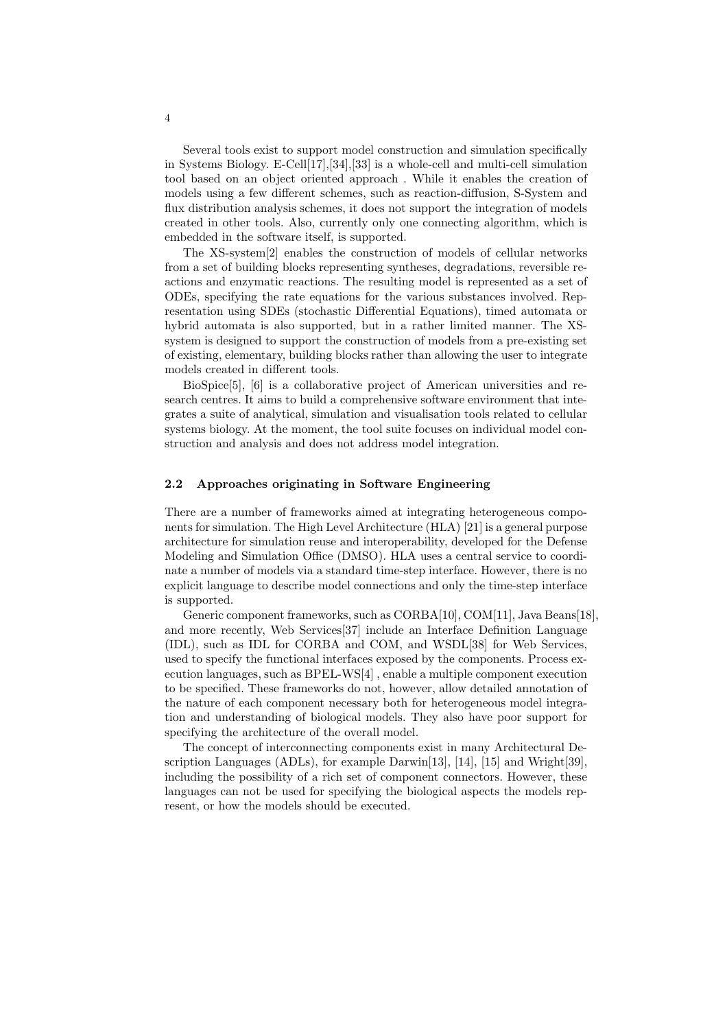Several tools exist to support model construction and simulation specifically in Systems Biology. E-Cell[17],[34],[33] is a whole-cell and multi-cell simulation tool based on an object oriented approach . While it enables the creation of models using a few different schemes, such as reaction-diffusion, S-System and flux distribution analysis schemes, it does not support the integration of models created in other tools. Also, currently only one connecting algorithm, which is embedded in the software itself, is supported.

The XS-system[2] enables the construction of models of cellular networks from a set of building blocks representing syntheses, degradations, reversible reactions and enzymatic reactions. The resulting model is represented as a set of ODEs, specifying the rate equations for the various substances involved. Representation using SDEs (stochastic Differential Equations), timed automata or hybrid automata is also supported, but in a rather limited manner. The XSsystem is designed to support the construction of models from a pre-existing set of existing, elementary, building blocks rather than allowing the user to integrate models created in different tools.

BioSpice[5], [6] is a collaborative project of American universities and research centres. It aims to build a comprehensive software environment that integrates a suite of analytical, simulation and visualisation tools related to cellular systems biology. At the moment, the tool suite focuses on individual model construction and analysis and does not address model integration.

#### 2.2 Approaches originating in Software Engineering

There are a number of frameworks aimed at integrating heterogeneous components for simulation. The High Level Architecture (HLA) [21] is a general purpose architecture for simulation reuse and interoperability, developed for the Defense Modeling and Simulation Office (DMSO). HLA uses a central service to coordinate a number of models via a standard time-step interface. However, there is no explicit language to describe model connections and only the time-step interface is supported.

Generic component frameworks, such as CORBA[10], COM[11], Java Beans[18], and more recently, Web Services[37] include an Interface Definition Language (IDL), such as IDL for CORBA and COM, and WSDL[38] for Web Services, used to specify the functional interfaces exposed by the components. Process execution languages, such as BPEL-WS[4] , enable a multiple component execution to be specified. These frameworks do not, however, allow detailed annotation of the nature of each component necessary both for heterogeneous model integration and understanding of biological models. They also have poor support for specifying the architecture of the overall model.

The concept of interconnecting components exist in many Architectural Description Languages (ADLs), for example Darwin[13], [14], [15] and Wright[39], including the possibility of a rich set of component connectors. However, these languages can not be used for specifying the biological aspects the models represent, or how the models should be executed.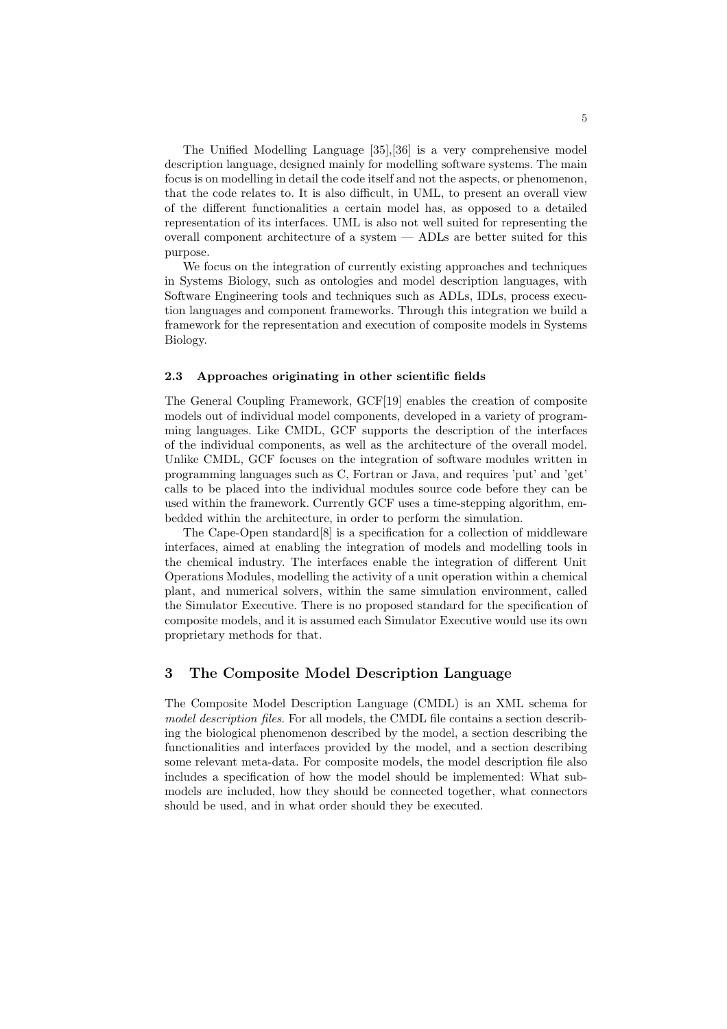The Unified Modelling Language [35],[36] is a very comprehensive model description language, designed mainly for modelling software systems. The main focus is on modelling in detail the code itself and not the aspects, or phenomenon, that the code relates to. It is also difficult, in UML, to present an overall view of the different functionalities a certain model has, as opposed to a detailed representation of its interfaces. UML is also not well suited for representing the overall component architecture of a system — ADLs are better suited for this purpose.

We focus on the integration of currently existing approaches and techniques in Systems Biology, such as ontologies and model description languages, with Software Engineering tools and techniques such as ADLs, IDLs, process execution languages and component frameworks. Through this integration we build a framework for the representation and execution of composite models in Systems Biology.

#### 2.3 Approaches originating in other scientific fields

The General Coupling Framework, GCF[19] enables the creation of composite models out of individual model components, developed in a variety of programming languages. Like CMDL, GCF supports the description of the interfaces of the individual components, as well as the architecture of the overall model. Unlike CMDL, GCF focuses on the integration of software modules written in programming languages such as C, Fortran or Java, and requires 'put' and 'get' calls to be placed into the individual modules source code before they can be used within the framework. Currently GCF uses a time-stepping algorithm, embedded within the architecture, in order to perform the simulation.

The Cape-Open standard[8] is a specification for a collection of middleware interfaces, aimed at enabling the integration of models and modelling tools in the chemical industry. The interfaces enable the integration of different Unit Operations Modules, modelling the activity of a unit operation within a chemical plant, and numerical solvers, within the same simulation environment, called the Simulator Executive. There is no proposed standard for the specification of composite models, and it is assumed each Simulator Executive would use its own proprietary methods for that.

# 3 The Composite Model Description Language

The Composite Model Description Language (CMDL) is an XML schema for model description files. For all models, the CMDL file contains a section describing the biological phenomenon described by the model, a section describing the functionalities and interfaces provided by the model, and a section describing some relevant meta-data. For composite models, the model description file also includes a specification of how the model should be implemented: What submodels are included, how they should be connected together, what connectors should be used, and in what order should they be executed.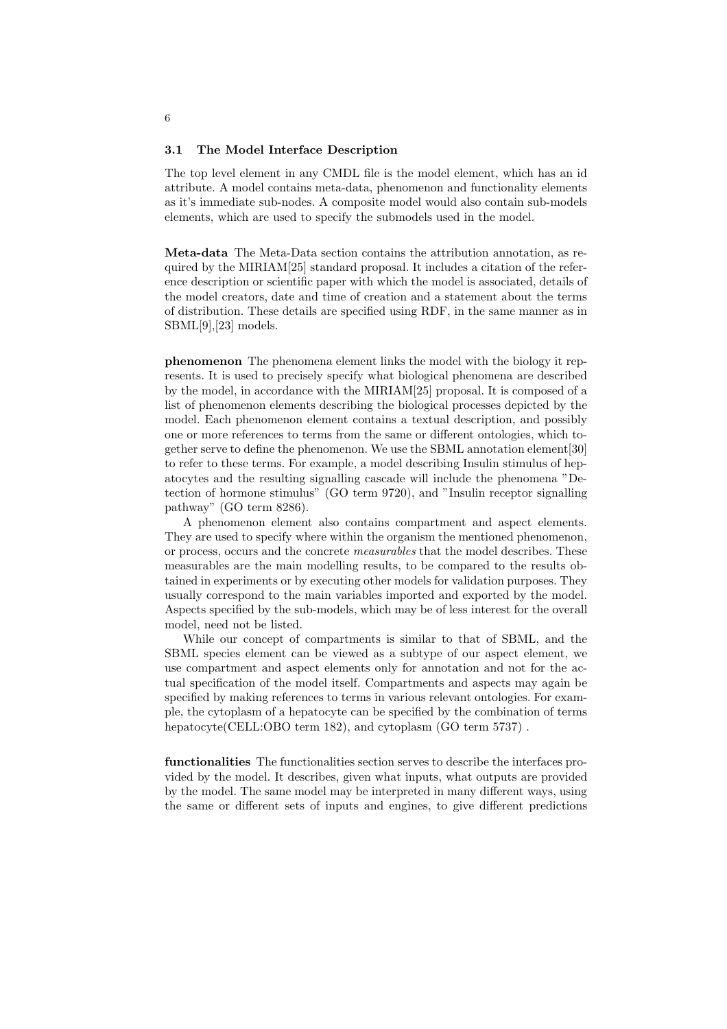#### 3.1 The Model Interface Description

The top level element in any CMDL file is the model element, which has an id attribute. A model contains meta-data, phenomenon and functionality elements as it's immediate sub-nodes. A composite model would also contain sub-models elements, which are used to specify the submodels used in the model.

Meta-data The Meta-Data section contains the attribution annotation, as required by the MIRIAM[25] standard proposal. It includes a citation of the reference description or scientific paper with which the model is associated, details of the model creators, date and time of creation and a statement about the terms of distribution. These details are specified using RDF, in the same manner as in SBML[9],[23] models.

phenomenon The phenomena element links the model with the biology it represents. It is used to precisely specify what biological phenomena are described by the model, in accordance with the MIRIAM[25] proposal. It is composed of a list of phenomenon elements describing the biological processes depicted by the model. Each phenomenon element contains a textual description, and possibly one or more references to terms from the same or different ontologies, which together serve to define the phenomenon. We use the SBML annotation element[30] to refer to these terms. For example, a model describing Insulin stimulus of hepatocytes and the resulting signalling cascade will include the phenomena "Detection of hormone stimulus" (GO term 9720), and "Insulin receptor signalling pathway" (GO term 8286).

A phenomenon element also contains compartment and aspect elements. They are used to specify where within the organism the mentioned phenomenon, or process, occurs and the concrete measurables that the model describes. These measurables are the main modelling results, to be compared to the results obtained in experiments or by executing other models for validation purposes. They usually correspond to the main variables imported and exported by the model. Aspects specified by the sub-models, which may be of less interest for the overall model, need not be listed.

While our concept of compartments is similar to that of SBML, and the SBML species element can be viewed as a subtype of our aspect element, we use compartment and aspect elements only for annotation and not for the actual specification of the model itself. Compartments and aspects may again be specified by making references to terms in various relevant ontologies. For example, the cytoplasm of a hepatocyte can be specified by the combination of terms hepatocyte (CELL:OBO term 182), and cytoplasm (GO term 5737).

functionalities The functionalities section serves to describe the interfaces provided by the model. It describes, given what inputs, what outputs are provided by the model. The same model may be interpreted in many different ways, using the same or different sets of inputs and engines, to give different predictions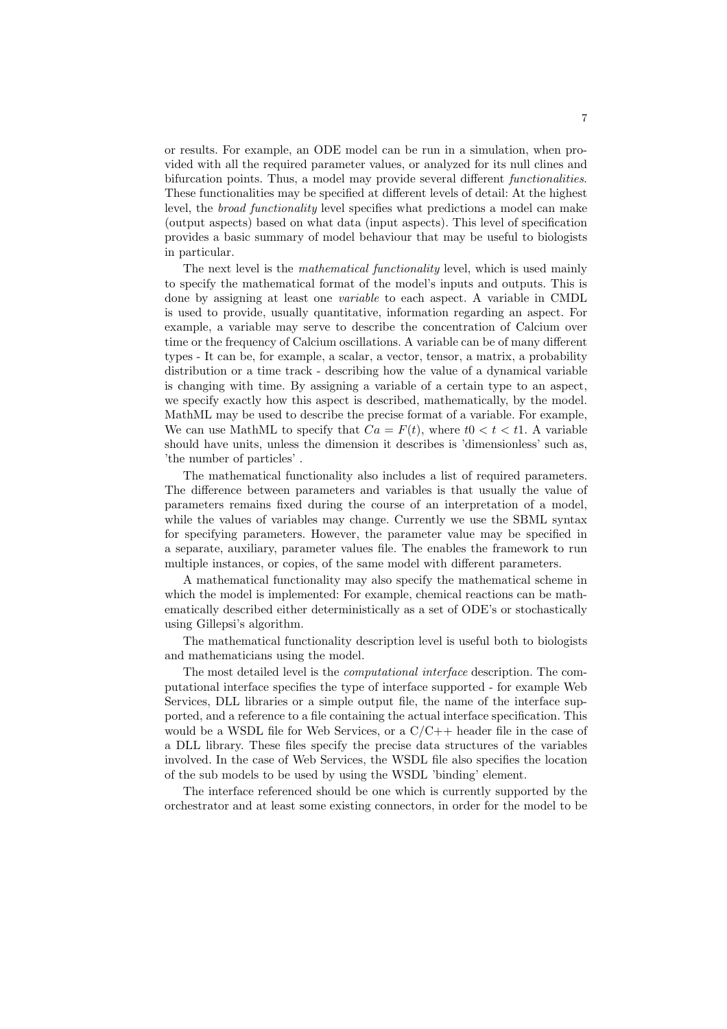or results. For example, an ODE model can be run in a simulation, when provided with all the required parameter values, or analyzed for its null clines and bifurcation points. Thus, a model may provide several different functionalities. These functionalities may be specified at different levels of detail: At the highest level, the broad functionality level specifies what predictions a model can make (output aspects) based on what data (input aspects). This level of specification provides a basic summary of model behaviour that may be useful to biologists in particular.

The next level is the *mathematical functionality* level, which is used mainly to specify the mathematical format of the model's inputs and outputs. This is done by assigning at least one variable to each aspect. A variable in CMDL is used to provide, usually quantitative, information regarding an aspect. For example, a variable may serve to describe the concentration of Calcium over time or the frequency of Calcium oscillations. A variable can be of many different types - It can be, for example, a scalar, a vector, tensor, a matrix, a probability distribution or a time track - describing how the value of a dynamical variable is changing with time. By assigning a variable of a certain type to an aspect, we specify exactly how this aspect is described, mathematically, by the model. MathML may be used to describe the precise format of a variable. For example, We can use MathML to specify that  $Ca = F(t)$ , where  $t0 < t < t1$ . A variable should have units, unless the dimension it describes is 'dimensionless' such as, 'the number of particles' .

The mathematical functionality also includes a list of required parameters. The difference between parameters and variables is that usually the value of parameters remains fixed during the course of an interpretation of a model, while the values of variables may change. Currently we use the SBML syntax for specifying parameters. However, the parameter value may be specified in a separate, auxiliary, parameter values file. The enables the framework to run multiple instances, or copies, of the same model with different parameters.

A mathematical functionality may also specify the mathematical scheme in which the model is implemented: For example, chemical reactions can be mathematically described either deterministically as a set of ODE's or stochastically using Gillepsi's algorithm.

The mathematical functionality description level is useful both to biologists and mathematicians using the model.

The most detailed level is the computational interface description. The computational interface specifies the type of interface supported - for example Web Services, DLL libraries or a simple output file, the name of the interface supported, and a reference to a file containing the actual interface specification. This would be a WSDL file for Web Services, or a  $C/C++$  header file in the case of a DLL library. These files specify the precise data structures of the variables involved. In the case of Web Services, the WSDL file also specifies the location of the sub models to be used by using the WSDL 'binding' element.

The interface referenced should be one which is currently supported by the orchestrator and at least some existing connectors, in order for the model to be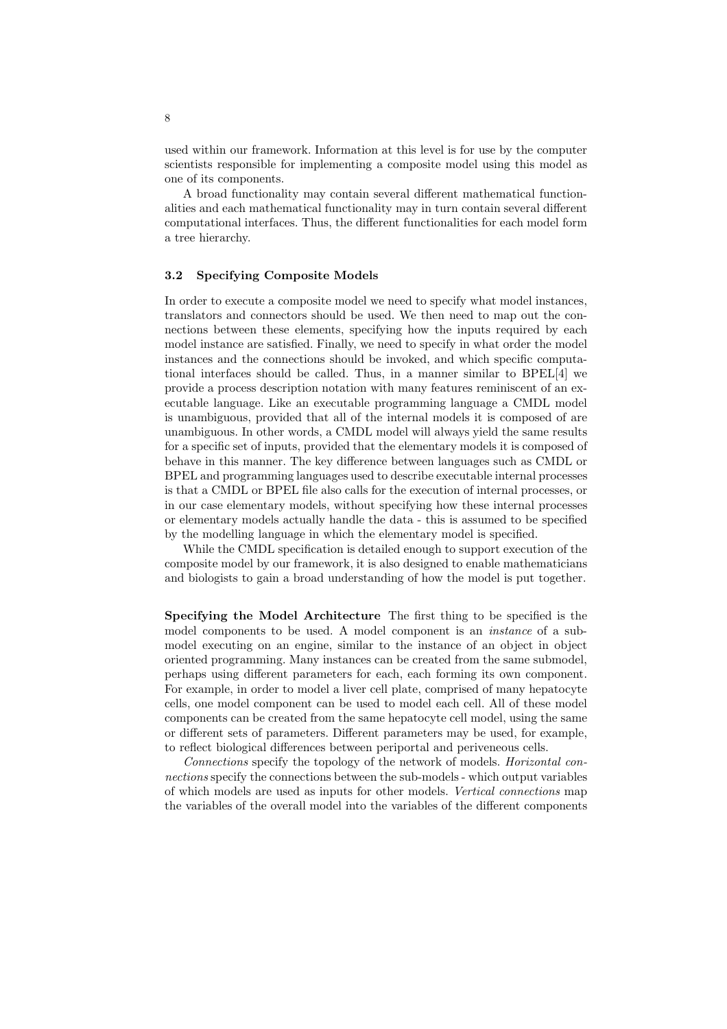used within our framework. Information at this level is for use by the computer scientists responsible for implementing a composite model using this model as one of its components.

A broad functionality may contain several different mathematical functionalities and each mathematical functionality may in turn contain several different computational interfaces. Thus, the different functionalities for each model form a tree hierarchy.

#### 3.2 Specifying Composite Models

In order to execute a composite model we need to specify what model instances, translators and connectors should be used. We then need to map out the connections between these elements, specifying how the inputs required by each model instance are satisfied. Finally, we need to specify in what order the model instances and the connections should be invoked, and which specific computational interfaces should be called. Thus, in a manner similar to BPEL[4] we provide a process description notation with many features reminiscent of an executable language. Like an executable programming language a CMDL model is unambiguous, provided that all of the internal models it is composed of are unambiguous. In other words, a CMDL model will always yield the same results for a specific set of inputs, provided that the elementary models it is composed of behave in this manner. The key difference between languages such as CMDL or BPEL and programming languages used to describe executable internal processes is that a CMDL or BPEL file also calls for the execution of internal processes, or in our case elementary models, without specifying how these internal processes or elementary models actually handle the data - this is assumed to be specified by the modelling language in which the elementary model is specified.

While the CMDL specification is detailed enough to support execution of the composite model by our framework, it is also designed to enable mathematicians and biologists to gain a broad understanding of how the model is put together.

Specifying the Model Architecture The first thing to be specified is the model components to be used. A model component is an *instance* of a submodel executing on an engine, similar to the instance of an object in object oriented programming. Many instances can be created from the same submodel, perhaps using different parameters for each, each forming its own component. For example, in order to model a liver cell plate, comprised of many hepatocyte cells, one model component can be used to model each cell. All of these model components can be created from the same hepatocyte cell model, using the same or different sets of parameters. Different parameters may be used, for example, to reflect biological differences between periportal and periveneous cells.

Connections specify the topology of the network of models. Horizontal connections specify the connections between the sub-models - which output variables of which models are used as inputs for other models. Vertical connections map the variables of the overall model into the variables of the different components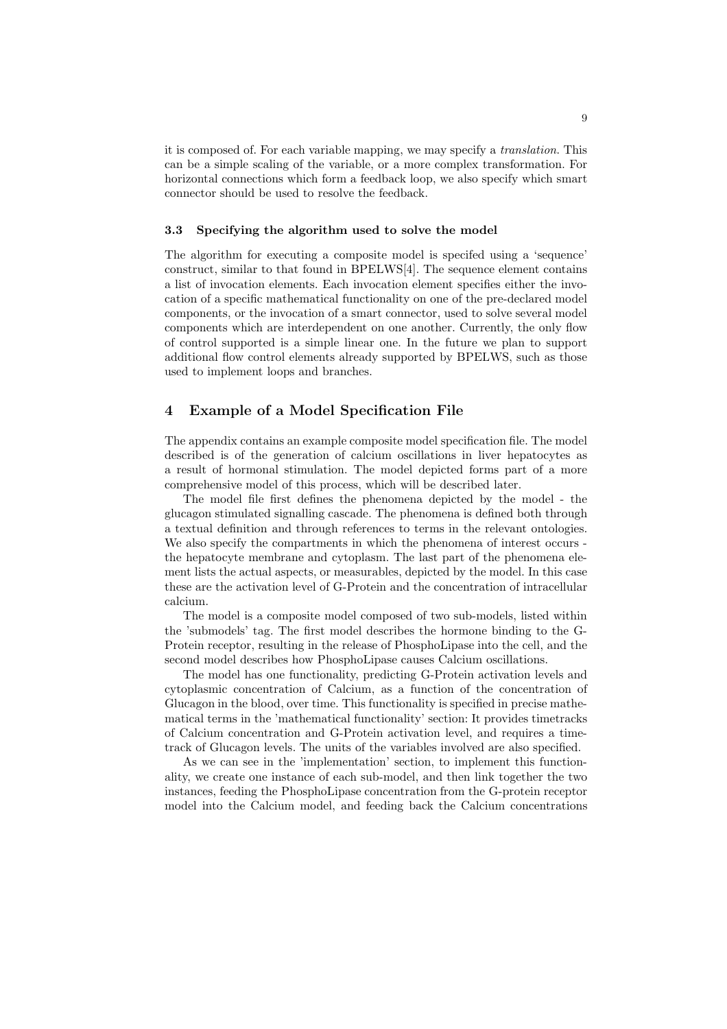it is composed of. For each variable mapping, we may specify a translation. This can be a simple scaling of the variable, or a more complex transformation. For horizontal connections which form a feedback loop, we also specify which smart connector should be used to resolve the feedback.

#### 3.3 Specifying the algorithm used to solve the model

The algorithm for executing a composite model is specifed using a 'sequence' construct, similar to that found in BPELWS[4]. The sequence element contains a list of invocation elements. Each invocation element specifies either the invocation of a specific mathematical functionality on one of the pre-declared model components, or the invocation of a smart connector, used to solve several model components which are interdependent on one another. Currently, the only flow of control supported is a simple linear one. In the future we plan to support additional flow control elements already supported by BPELWS, such as those used to implement loops and branches.

# 4 Example of a Model Specification File

The appendix contains an example composite model specification file. The model described is of the generation of calcium oscillations in liver hepatocytes as a result of hormonal stimulation. The model depicted forms part of a more comprehensive model of this process, which will be described later.

The model file first defines the phenomena depicted by the model - the glucagon stimulated signalling cascade. The phenomena is defined both through a textual definition and through references to terms in the relevant ontologies. We also specify the compartments in which the phenomena of interest occurs the hepatocyte membrane and cytoplasm. The last part of the phenomena element lists the actual aspects, or measurables, depicted by the model. In this case these are the activation level of G-Protein and the concentration of intracellular calcium.

The model is a composite model composed of two sub-models, listed within the 'submodels' tag. The first model describes the hormone binding to the G-Protein receptor, resulting in the release of PhosphoLipase into the cell, and the second model describes how PhosphoLipase causes Calcium oscillations.

The model has one functionality, predicting G-Protein activation levels and cytoplasmic concentration of Calcium, as a function of the concentration of Glucagon in the blood, over time. This functionality is specified in precise mathematical terms in the 'mathematical functionality' section: It provides timetracks of Calcium concentration and G-Protein activation level, and requires a timetrack of Glucagon levels. The units of the variables involved are also specified.

As we can see in the 'implementation' section, to implement this functionality, we create one instance of each sub-model, and then link together the two instances, feeding the PhosphoLipase concentration from the G-protein receptor model into the Calcium model, and feeding back the Calcium concentrations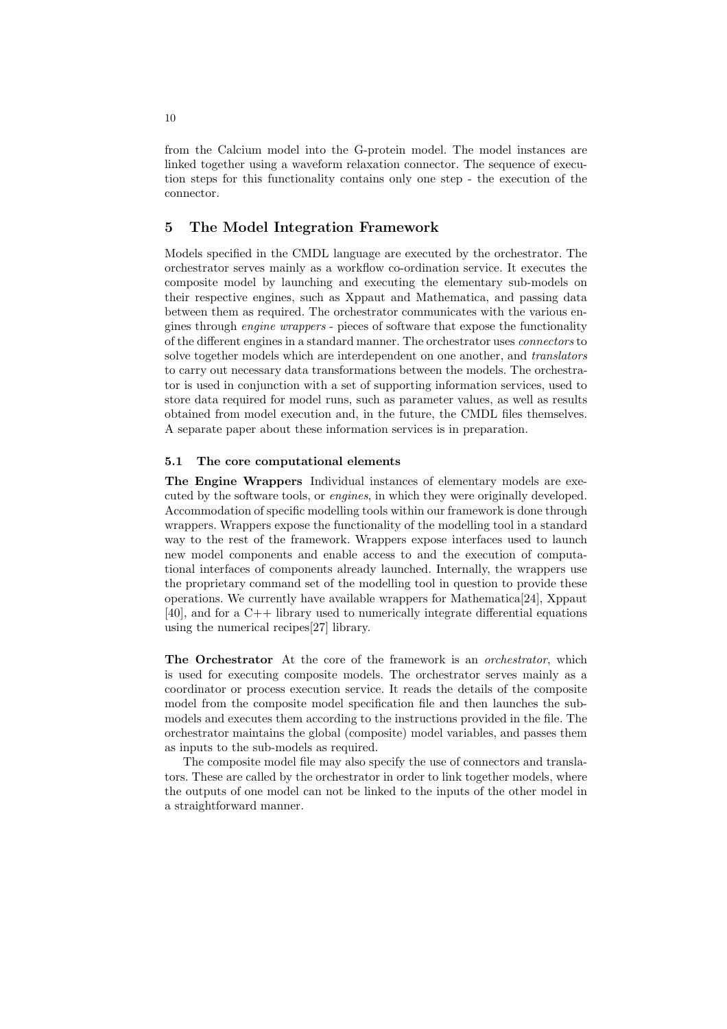from the Calcium model into the G-protein model. The model instances are linked together using a waveform relaxation connector. The sequence of execution steps for this functionality contains only one step - the execution of the connector.

# 5 The Model Integration Framework

Models specified in the CMDL language are executed by the orchestrator. The orchestrator serves mainly as a workflow co-ordination service. It executes the composite model by launching and executing the elementary sub-models on their respective engines, such as Xppaut and Mathematica, and passing data between them as required. The orchestrator communicates with the various engines through engine wrappers - pieces of software that expose the functionality of the different engines in a standard manner. The orchestrator uses connectors to solve together models which are interdependent on one another, and translators to carry out necessary data transformations between the models. The orchestrator is used in conjunction with a set of supporting information services, used to store data required for model runs, such as parameter values, as well as results obtained from model execution and, in the future, the CMDL files themselves. A separate paper about these information services is in preparation.

#### 5.1 The core computational elements

The Engine Wrappers Individual instances of elementary models are executed by the software tools, or engines, in which they were originally developed. Accommodation of specific modelling tools within our framework is done through wrappers. Wrappers expose the functionality of the modelling tool in a standard way to the rest of the framework. Wrappers expose interfaces used to launch new model components and enable access to and the execution of computational interfaces of components already launched. Internally, the wrappers use the proprietary command set of the modelling tool in question to provide these operations. We currently have available wrappers for Mathematica[24], Xppaut [40], and for a C++ library used to numerically integrate differential equations using the numerical recipes[27] library.

The Orchestrator At the core of the framework is an *orchestrator*, which is used for executing composite models. The orchestrator serves mainly as a coordinator or process execution service. It reads the details of the composite model from the composite model specification file and then launches the submodels and executes them according to the instructions provided in the file. The orchestrator maintains the global (composite) model variables, and passes them as inputs to the sub-models as required.

The composite model file may also specify the use of connectors and translators. These are called by the orchestrator in order to link together models, where the outputs of one model can not be linked to the inputs of the other model in a straightforward manner.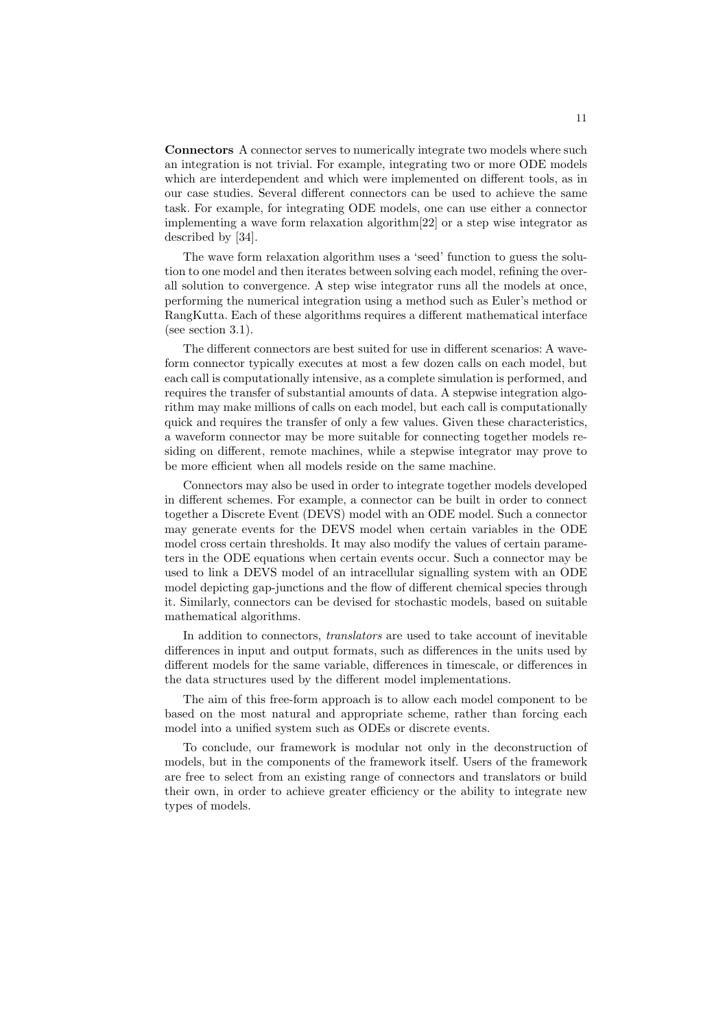Connectors A connector serves to numerically integrate two models where such an integration is not trivial. For example, integrating two or more ODE models which are interdependent and which were implemented on different tools, as in our case studies. Several different connectors can be used to achieve the same task. For example, for integrating ODE models, one can use either a connector implementing a wave form relaxation algorithm[22] or a step wise integrator as described by [34].

The wave form relaxation algorithm uses a 'seed' function to guess the solution to one model and then iterates between solving each model, refining the overall solution to convergence. A step wise integrator runs all the models at once, performing the numerical integration using a method such as Euler's method or RangKutta. Each of these algorithms requires a different mathematical interface (see section 3.1).

The different connectors are best suited for use in different scenarios: A waveform connector typically executes at most a few dozen calls on each model, but each call is computationally intensive, as a complete simulation is performed, and requires the transfer of substantial amounts of data. A stepwise integration algorithm may make millions of calls on each model, but each call is computationally quick and requires the transfer of only a few values. Given these characteristics, a waveform connector may be more suitable for connecting together models residing on different, remote machines, while a stepwise integrator may prove to be more efficient when all models reside on the same machine.

Connectors may also be used in order to integrate together models developed in different schemes. For example, a connector can be built in order to connect together a Discrete Event (DEVS) model with an ODE model. Such a connector may generate events for the DEVS model when certain variables in the ODE model cross certain thresholds. It may also modify the values of certain parameters in the ODE equations when certain events occur. Such a connector may be used to link a DEVS model of an intracellular signalling system with an ODE model depicting gap-junctions and the flow of different chemical species through it. Similarly, connectors can be devised for stochastic models, based on suitable mathematical algorithms.

In addition to connectors, translators are used to take account of inevitable differences in input and output formats, such as differences in the units used by different models for the same variable, differences in timescale, or differences in the data structures used by the different model implementations.

The aim of this free-form approach is to allow each model component to be based on the most natural and appropriate scheme, rather than forcing each model into a unified system such as ODEs or discrete events.

To conclude, our framework is modular not only in the deconstruction of models, but in the components of the framework itself. Users of the framework are free to select from an existing range of connectors and translators or build their own, in order to achieve greater efficiency or the ability to integrate new types of models.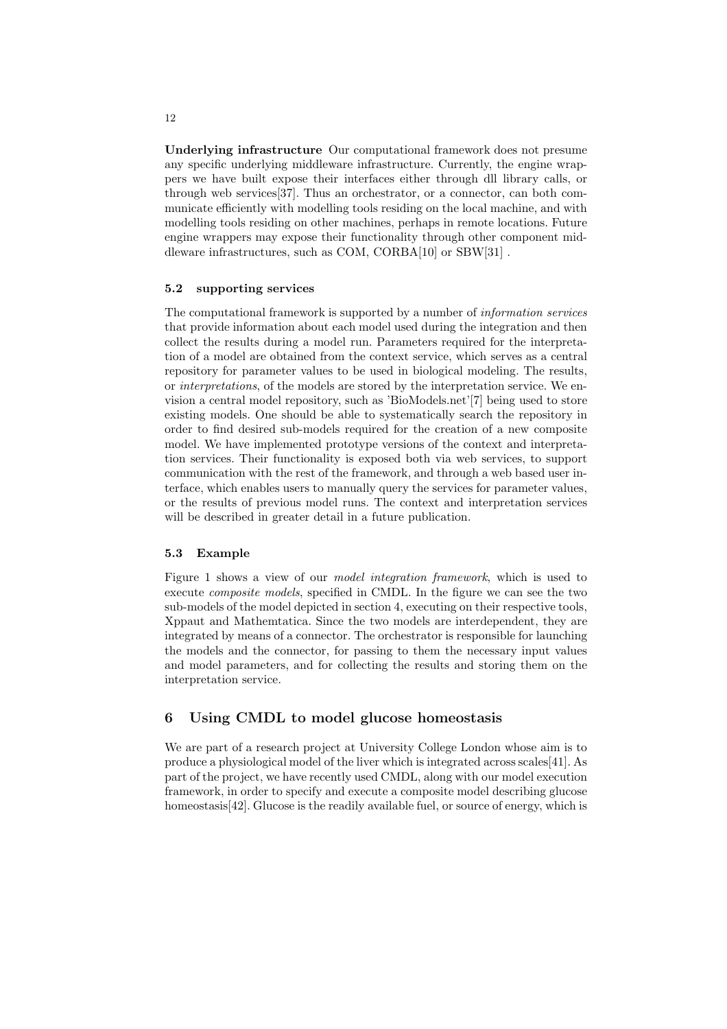Underlying infrastructure Our computational framework does not presume any specific underlying middleware infrastructure. Currently, the engine wrappers we have built expose their interfaces either through dll library calls, or through web services[37]. Thus an orchestrator, or a connector, can both communicate efficiently with modelling tools residing on the local machine, and with modelling tools residing on other machines, perhaps in remote locations. Future engine wrappers may expose their functionality through other component middleware infrastructures, such as COM, CORBA[10] or SBW[31] .

## 5.2 supporting services

The computational framework is supported by a number of information services that provide information about each model used during the integration and then collect the results during a model run. Parameters required for the interpretation of a model are obtained from the context service, which serves as a central repository for parameter values to be used in biological modeling. The results, or interpretations, of the models are stored by the interpretation service. We envision a central model repository, such as 'BioModels.net'[7] being used to store existing models. One should be able to systematically search the repository in order to find desired sub-models required for the creation of a new composite model. We have implemented prototype versions of the context and interpretation services. Their functionality is exposed both via web services, to support communication with the rest of the framework, and through a web based user interface, which enables users to manually query the services for parameter values, or the results of previous model runs. The context and interpretation services will be described in greater detail in a future publication.

#### 5.3 Example

Figure 1 shows a view of our model integration framework, which is used to execute composite models, specified in CMDL. In the figure we can see the two sub-models of the model depicted in section 4, executing on their respective tools, Xppaut and Mathemtatica. Since the two models are interdependent, they are integrated by means of a connector. The orchestrator is responsible for launching the models and the connector, for passing to them the necessary input values and model parameters, and for collecting the results and storing them on the interpretation service.

# 6 Using CMDL to model glucose homeostasis

We are part of a research project at University College London whose aim is to produce a physiological model of the liver which is integrated across scales[41]. As part of the project, we have recently used CMDL, along with our model execution framework, in order to specify and execute a composite model describing glucose homeostasis[42]. Glucose is the readily available fuel, or source of energy, which is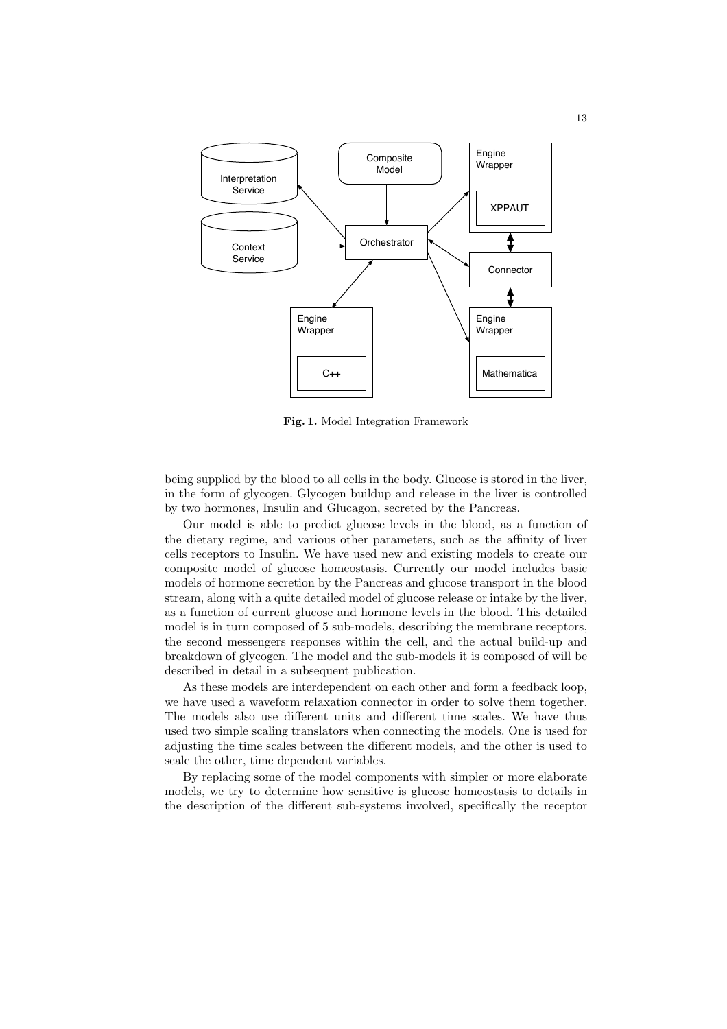

Fig. 1. Model Integration Framework

being supplied by the blood to all cells in the body. Glucose is stored in the liver, in the form of glycogen. Glycogen buildup and release in the liver is controlled by two hormones, Insulin and Glucagon, secreted by the Pancreas.

Our model is able to predict glucose levels in the blood, as a function of the dietary regime, and various other parameters, such as the affinity of liver cells receptors to Insulin. We have used new and existing models to create our composite model of glucose homeostasis. Currently our model includes basic models of hormone secretion by the Pancreas and glucose transport in the blood stream, along with a quite detailed model of glucose release or intake by the liver, as a function of current glucose and hormone levels in the blood. This detailed model is in turn composed of 5 sub-models, describing the membrane receptors, the second messengers responses within the cell, and the actual build-up and breakdown of glycogen. The model and the sub-models it is composed of will be described in detail in a subsequent publication.

As these models are interdependent on each other and form a feedback loop, we have used a waveform relaxation connector in order to solve them together. The models also use different units and different time scales. We have thus used two simple scaling translators when connecting the models. One is used for adjusting the time scales between the different models, and the other is used to scale the other, time dependent variables.

By replacing some of the model components with simpler or more elaborate models, we try to determine how sensitive is glucose homeostasis to details in the description of the different sub-systems involved, specifically the receptor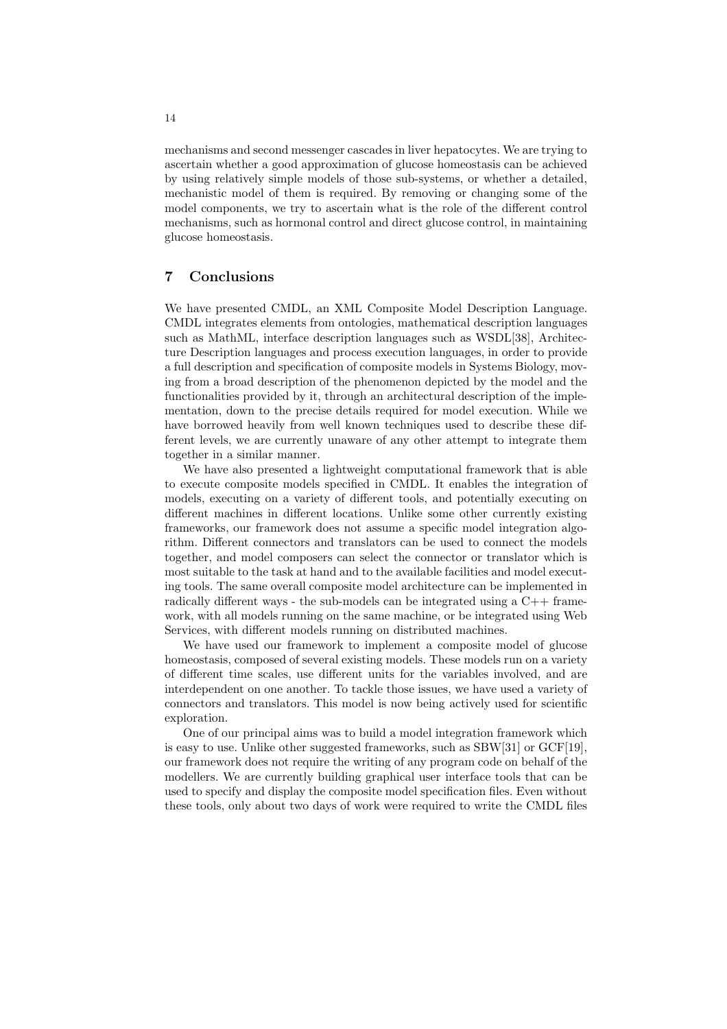mechanisms and second messenger cascades in liver hepatocytes. We are trying to ascertain whether a good approximation of glucose homeostasis can be achieved by using relatively simple models of those sub-systems, or whether a detailed, mechanistic model of them is required. By removing or changing some of the model components, we try to ascertain what is the role of the different control mechanisms, such as hormonal control and direct glucose control, in maintaining glucose homeostasis.

# 7 Conclusions

We have presented CMDL, an XML Composite Model Description Language. CMDL integrates elements from ontologies, mathematical description languages such as MathML, interface description languages such as WSDL[38], Architecture Description languages and process execution languages, in order to provide a full description and specification of composite models in Systems Biology, moving from a broad description of the phenomenon depicted by the model and the functionalities provided by it, through an architectural description of the implementation, down to the precise details required for model execution. While we have borrowed heavily from well known techniques used to describe these different levels, we are currently unaware of any other attempt to integrate them together in a similar manner.

We have also presented a lightweight computational framework that is able to execute composite models specified in CMDL. It enables the integration of models, executing on a variety of different tools, and potentially executing on different machines in different locations. Unlike some other currently existing frameworks, our framework does not assume a specific model integration algorithm. Different connectors and translators can be used to connect the models together, and model composers can select the connector or translator which is most suitable to the task at hand and to the available facilities and model executing tools. The same overall composite model architecture can be implemented in radically different ways - the sub-models can be integrated using a C++ framework, with all models running on the same machine, or be integrated using Web Services, with different models running on distributed machines.

We have used our framework to implement a composite model of glucose homeostasis, composed of several existing models. These models run on a variety of different time scales, use different units for the variables involved, and are interdependent on one another. To tackle those issues, we have used a variety of connectors and translators. This model is now being actively used for scientific exploration.

One of our principal aims was to build a model integration framework which is easy to use. Unlike other suggested frameworks, such as SBW[31] or GCF[19], our framework does not require the writing of any program code on behalf of the modellers. We are currently building graphical user interface tools that can be used to specify and display the composite model specification files. Even without these tools, only about two days of work were required to write the CMDL files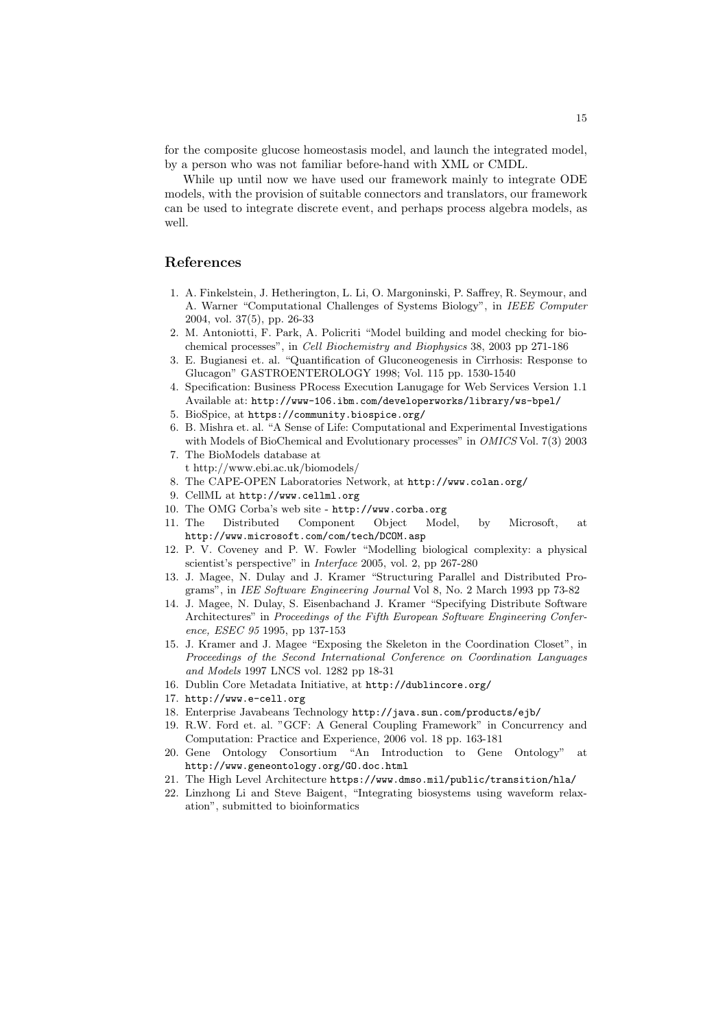for the composite glucose homeostasis model, and launch the integrated model, by a person who was not familiar before-hand with XML or CMDL.

While up until now we have used our framework mainly to integrate ODE models, with the provision of suitable connectors and translators, our framework can be used to integrate discrete event, and perhaps process algebra models, as well.

# References

- 1. A. Finkelstein, J. Hetherington, L. Li, O. Margoninski, P. Saffrey, R. Seymour, and A. Warner "Computational Challenges of Systems Biology", in IEEE Computer 2004, vol. 37(5), pp. 26-33
- 2. M. Antoniotti, F. Park, A. Policriti "Model building and model checking for biochemical processes", in Cell Biochemistry and Biophysics 38, 2003 pp 271-186
- 3. E. Bugianesi et. al. "Quantification of Gluconeogenesis in Cirrhosis: Response to Glucagon" GASTROENTEROLOGY 1998; Vol. 115 pp. 1530-1540
- 4. Specification: Business PRocess Execution Lanugage for Web Services Version 1.1 Available at: http://www-106.ibm.com/developerworks/library/ws-bpel/
- 5. BioSpice, at https://community.biospice.org/
- 6. B. Mishra et. al. "A Sense of Life: Computational and Experimental Investigations with Models of BioChemical and Evolutionary processes" in *OMICS* Vol. 7(3) 2003
- 7. The BioModels database at
- t http://www.ebi.ac.uk/biomodels/
- 8. The CAPE-OPEN Laboratories Network, at http://www.colan.org/
- 9. CellML at http://www.cellml.org
- 10. The OMG Corba's web site http://www.corba.org
- 11. The Distributed Component Object Model, by Microsoft, at http://www.microsoft.com/com/tech/DCOM.asp
- 12. P. V. Coveney and P. W. Fowler "Modelling biological complexity: a physical scientist's perspective" in Interface 2005, vol. 2, pp 267-280
- 13. J. Magee, N. Dulay and J. Kramer "Structuring Parallel and Distributed Programs", in IEE Software Engineering Journal Vol 8, No. 2 March 1993 pp 73-82
- 14. J. Magee, N. Dulay, S. Eisenbachand J. Kramer "Specifying Distribute Software Architectures" in Proceedings of the Fifth European Software Engineering Conference, ESEC 95 1995, pp 137-153
- 15. J. Kramer and J. Magee "Exposing the Skeleton in the Coordination Closet", in Proceedings of the Second International Conference on Coordination Languages and Models 1997 LNCS vol. 1282 pp 18-31
- 16. Dublin Core Metadata Initiative, at http://dublincore.org/
- 17. http://www.e-cell.org
- 18. Enterprise Javabeans Technology http://java.sun.com/products/ejb/
- 19. R.W. Ford et. al. "GCF: A General Coupling Framework" in Concurrency and Computation: Practice and Experience, 2006 vol. 18 pp. 163-181
- 20. Gene Ontology Consortium "An Introduction to Gene Ontology" at http://www.geneontology.org/GO.doc.html
- 21. The High Level Architecture https://www.dmso.mil/public/transition/hla/
- 22. Linzhong Li and Steve Baigent, "Integrating biosystems using waveform relaxation", submitted to bioinformatics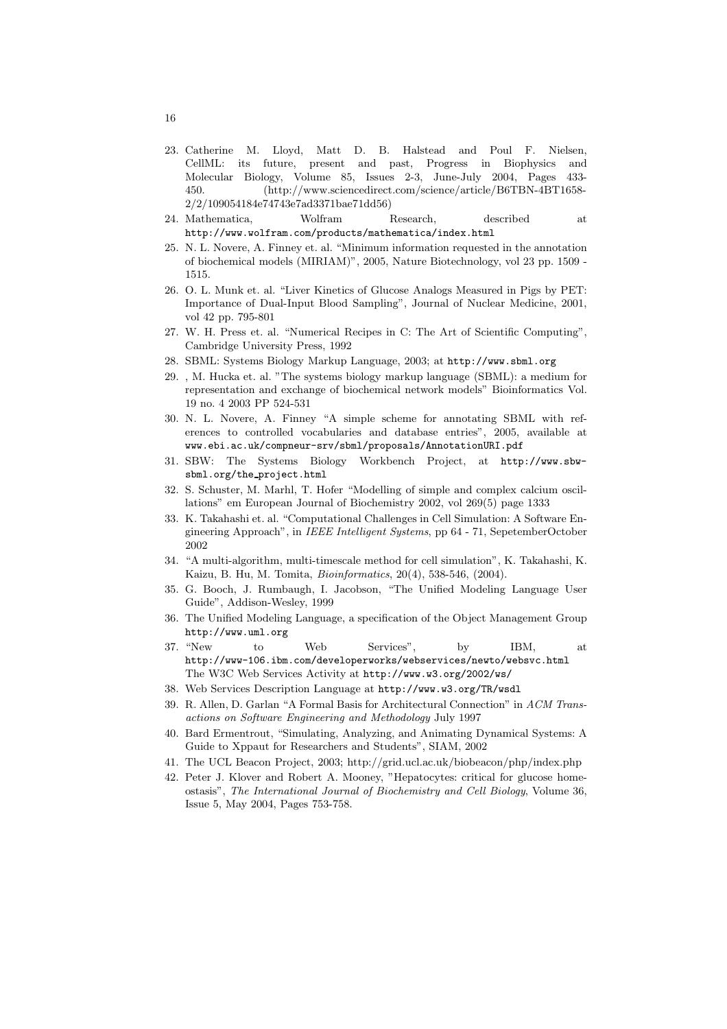- 23. Catherine M. Lloyd, Matt D. B. Halstead and Poul F. Nielsen, CellML: its future, present and past, Progress in Biophysics and Molecular Biology, Volume 85, Issues 2-3, June-July 2004, Pages 433- 450. (http://www.sciencedirect.com/science/article/B6TBN-4BT1658- 2/2/109054184e74743e7ad3371bae71dd56)
- 24. Mathematica, Wolfram Research, described at http://www.wolfram.com/products/mathematica/index.html
- 25. N. L. Novere, A. Finney et. al. "Minimum information requested in the annotation of biochemical models (MIRIAM)", 2005, Nature Biotechnology, vol 23 pp. 1509 - 1515.
- 26. O. L. Munk et. al. "Liver Kinetics of Glucose Analogs Measured in Pigs by PET: Importance of Dual-Input Blood Sampling", Journal of Nuclear Medicine, 2001, vol 42 pp. 795-801
- 27. W. H. Press et. al. "Numerical Recipes in C: The Art of Scientific Computing", Cambridge University Press, 1992
- 28. SBML: Systems Biology Markup Language, 2003; at http://www.sbml.org
- 29. , M. Hucka et. al. "The systems biology markup language (SBML): a medium for representation and exchange of biochemical network models" Bioinformatics Vol. 19 no. 4 2003 PP 524-531
- 30. N. L. Novere, A. Finney "A simple scheme for annotating SBML with references to controlled vocabularies and database entries", 2005, available at www.ebi.ac.uk/compneur-srv/sbml/proposals/AnnotationURI.pdf
- 31. SBW: The Systems Biology Workbench Project, at http://www.sbwsbml.org/the project.html
- 32. S. Schuster, M. Marhl, T. Hofer "Modelling of simple and complex calcium oscillations" em European Journal of Biochemistry 2002, vol 269(5) page 1333
- 33. K. Takahashi et. al. "Computational Challenges in Cell Simulation: A Software Engineering Approach", in IEEE Intelligent Systems, pp 64 - 71, SepetemberOctober 2002
- 34. "A multi-algorithm, multi-timescale method for cell simulation", K. Takahashi, K. Kaizu, B. Hu, M. Tomita, Bioinformatics, 20(4), 538-546, (2004).
- 35. G. Booch, J. Rumbaugh, I. Jacobson, "The Unified Modeling Language User Guide", Addison-Wesley, 1999
- 36. The Unified Modeling Language, a specification of the Object Management Group http://www.uml.org
- 37. "New to Web Services", by IBM, at http://www-106.ibm.com/developerworks/webservices/newto/websvc.html The W3C Web Services Activity at http://www.w3.org/2002/ws/
- 38. Web Services Description Language at http://www.w3.org/TR/wsdl
- 39. R. Allen, D. Garlan "A Formal Basis for Architectural Connection" in ACM Transactions on Software Engineering and Methodology July 1997
- 40. Bard Ermentrout, "Simulating, Analyzing, and Animating Dynamical Systems: A Guide to Xppaut for Researchers and Students", SIAM, 2002
- 41. The UCL Beacon Project, 2003; http://grid.ucl.ac.uk/biobeacon/php/index.php
- 42. Peter J. Klover and Robert A. Mooney, "Hepatocytes: critical for glucose homeostasis", The International Journal of Biochemistry and Cell Biology, Volume 36, Issue 5, May 2004, Pages 753-758.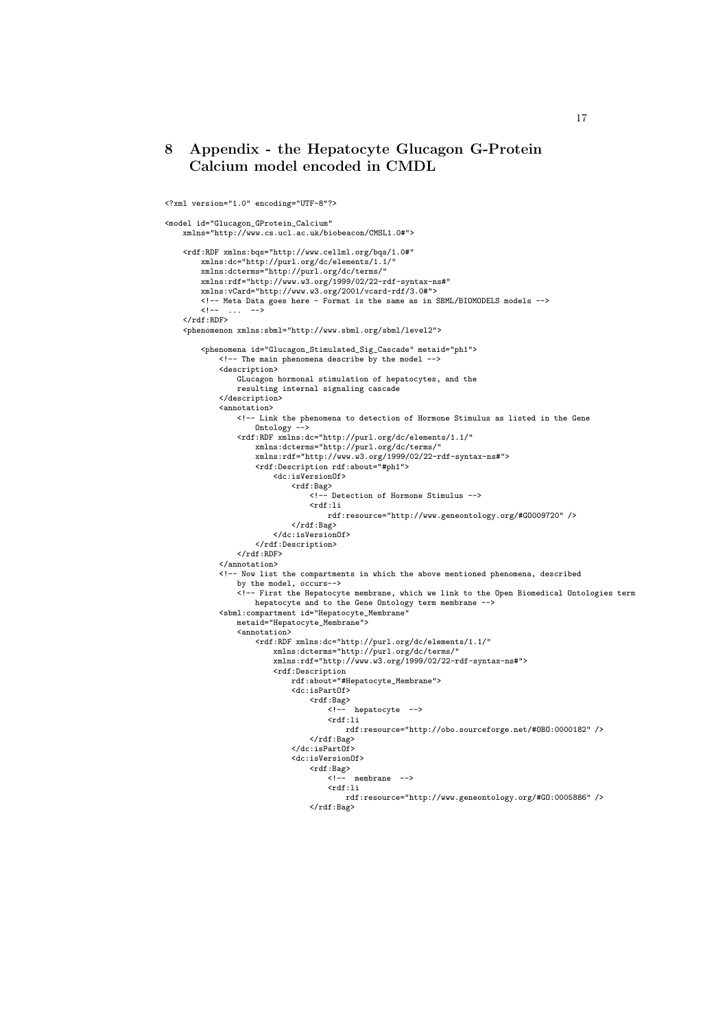# 8 Appendix - the Hepatocyte Glucagon G-Protein Calcium model encoded in CMDL

```
<?xml version="1.0" encoding="UTF-8"?>
<model id="Glucagon_GProtein_Calcium"
    xmlns="http://www.cs.ucl.ac.uk/biobeacon/CMSL1.0#">
    <rdf:RDF xmlns:bqs="http://www.cellml.org/bqs/1.0#"
         xmlns:dc="http://purl.org/dc/elements/1.1/"
xmlns:dcterms="http://purl.org/dc/terms/"
        xmlns:rdf="http://www.w3.org/1999/02/22-rdf-syntax-ns#"
        xmlns:vCard="http://www.w3.org/2001/vcard-rdf/3.0#">
        <!-- Meta Data goes here - Format is the same as in SBML/BIOMODELS models -->
        \frac{1}{2} ... ... -->
    \langle/\mathsf{rdf}:RDF\rangle<phenomenon xmlns:sbml="http://www.sbml.org/sbml/level2">
         <phenomena id="Glucagon_Stimulated_Sig_Cascade" metaid="ph1">
             <!-- The main phenomena describe by the model -->
             <description>
                 GLucagon hormonal stimulation of hepatocytes, and the
                 resulting internal signaling cascade
             </description>
             <annotation>
                  <!-- Link the phenomena to detection of Hormone Stimulus as listed in the Gene
                      Ontology -
                 <rdf:RDF xmlns:dc="http://purl.org/dc/elements/1.1/"
                      xmlns:dcterms="http://purl.org/dc/terms/"
xmlns:rdf="http://www.w3.org/1999/02/22-rdf-syntax-ns#">
                      <rdf:Description rdf:about="#ph1">
                          <dc:isVersionOf>
                               <rdf:Bag>
                                   <!-- Detection of Hormone Stimulus -->
                                   <rdf:li
                                        rdf:resource="http://www.geneontology.org/#GO009720" />
                               \langlerdf:Bag>
                           </dc:isVersionOf>
                      </rdf:Description>
                 \langlerdf:RDF>
             </annotation>
             <!-- Now list the compartments in which the above mentioned phenomena, described
                 by the model, occurs-->
                  <!-- First the Hepatocyte membrane, which we link to the Open Biomedical Ontologies term
                     hepatocyte and to the Gene Ontology term membrane -->
             <sbml:compartment id="Hepatocyte_Membrane"
metaid="Hepatocyte_Membrane">
                 <annotation>
                      <rdf:RDF xmlns:dc="http://purl.org/dc/elements/1.1/"
                          xmlns:dcterms="http://purl.org/dc/terms/"
                          xmlns:rdf="http://www.w3.org/1999/02/22-rdf-syntax-ns#">
                          <rdf:Description
                               rdf:about="#Hepatocyte_Membrane">
                               <dc:isPartOf>
                                   \langle \text{rdf:Bag} \ranglehepatocyte -->
                                        <sub>rdf</sub>:li</sub>
                                            rdf:resource="http://obo.sourceforge.net/#OBO:0000182" />
                                   \langle \texttt{rdf:Bag}\rangle</dc:isPartOf>
                               <dc:isVersionOf>
                                    <rdf:Bag>
<!-- membrane -->
                                        <rdf:li
                                            rdf:resource="http://www.geneontology.org/#GO:0005886" />
                                   \langlerdf:Bag>
```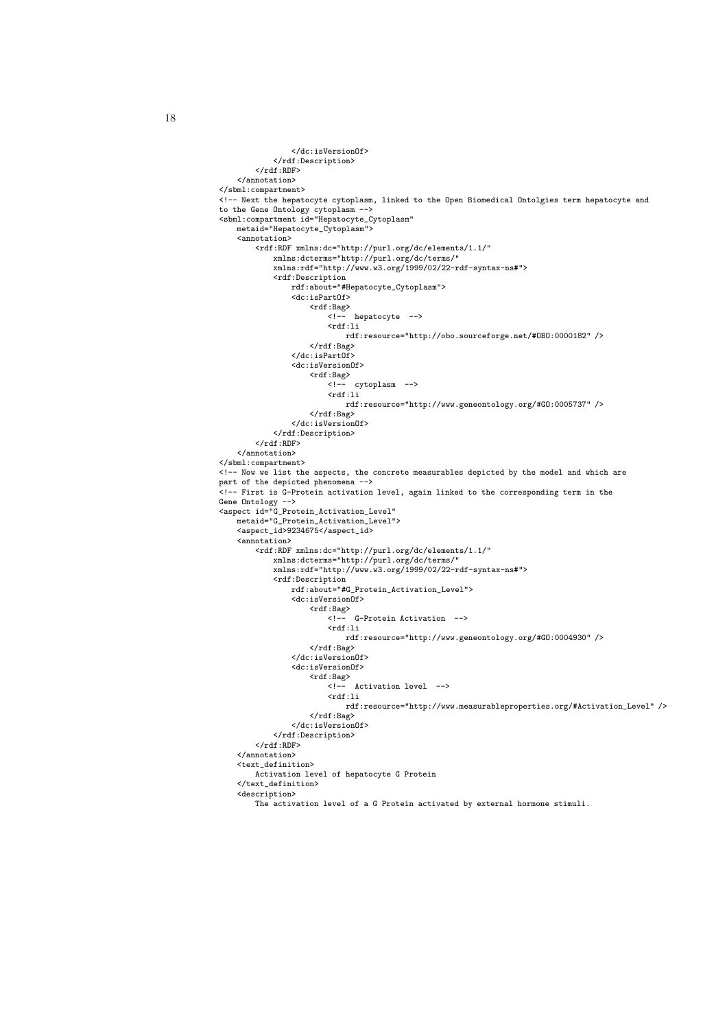```
</dc:isVersionOf>
             </rdf:Description>
        \langle/\text{rdf}:RDF\rangle</annotation>
</sbml:compartment>
<!-- Next the hepatocyte cytoplasm, linked to the Open Biomedical Ontolgies term hepatocyte and
to the Gene Ontology cytoplasm -->
<sbml:compartment id="Hepatocyte_Cytoplasm"
    metaid="Hepatocyte_Cytoplasm">
    <annotation>
        <rdf:RDF xmlns:dc="http://purl.org/dc/elements/1.1/"
             xmlns:dcterms="http://purl.org/dc/terms/"
xmlns:rdf="http://www.w3.org/1999/02/22-rdf-syntax-ns#">
             <rdf:Description
                 rdf:about="#Hepatocyte_Cytoplasm">
                 <dc:isPartOf>
                      <rdf:Bag>
<!-- hepatocyte -->
                          <rdf:li
                              rdf:resource="http://obo.sourceforge.net/#OBO:0000182" />
                     </rdf:Bag>
                 </dc:isPartOf>
                 <dc:isVersionOf>
                     -----<br><rdf:Bag><br><!--
                               cytoplasm -->
                          <rdf:li
                              rdf:resource="http://www.geneontology.org/#GO:0005737" />
                     \langlerdf:Bag>
                 </dc:isVersionOf>
             </rdf:Description>
        \langlerdf:RDF>
    </annotation>
</sbml:compartment>
<!-- Now we list the aspects, the concrete measurables depicted by the model and which are
part of the depicted phenomena -->
<!-- First is G-Protein activation level, again linked to the corresponding term in the
Gene Ontology -->
<aspect id="G_Protein_Activation_Level"
    metaid="G_Protein_Activation_Level">
    <aspect_id>9234675</aspect_id>
    <annotation>
         <rdf:RDF xmlns:dc="http://purl.org/dc/elements/1.1/"
             xmlns:dcterms="http://purl.org/dc/terms/"
             xmlns:rdf="http://www.w3.org/1999/02/22-rdf-syntax-ns#">
             <rdf:Description
                 rdf:about="#G_Protein_Activation_Level">
                 <dc:isVersionOf>
                     <rdf:Bag>
                          <!-- G-Protein Activation -->
                          <sub>rdf</sub>:li</sub>
                              rdf:resource="http://www.geneontology.org/#GO:0004930" />
                     \langle \text{rdf:Bag} \rangle</dc:isVersionOf>
                 <dc:isVersionOf>
                      <rdf:Bag>
<!-- Activation level -->
                          <rdf:li
                              rdf:resource="http://www.measurableproperties.org/#Activation_Level" />
                     \langlerdf:Bag>
                 </dc:isVersionOf>
             \langlerdf:Description>
        \langlerdf:RDF>
    </annotation>
    <text_definition>
        Activation level of hepatocyte G Protein
    </text_definition>
    <description>
        The activation level of a G Protein activated by external hormone stimuli.
```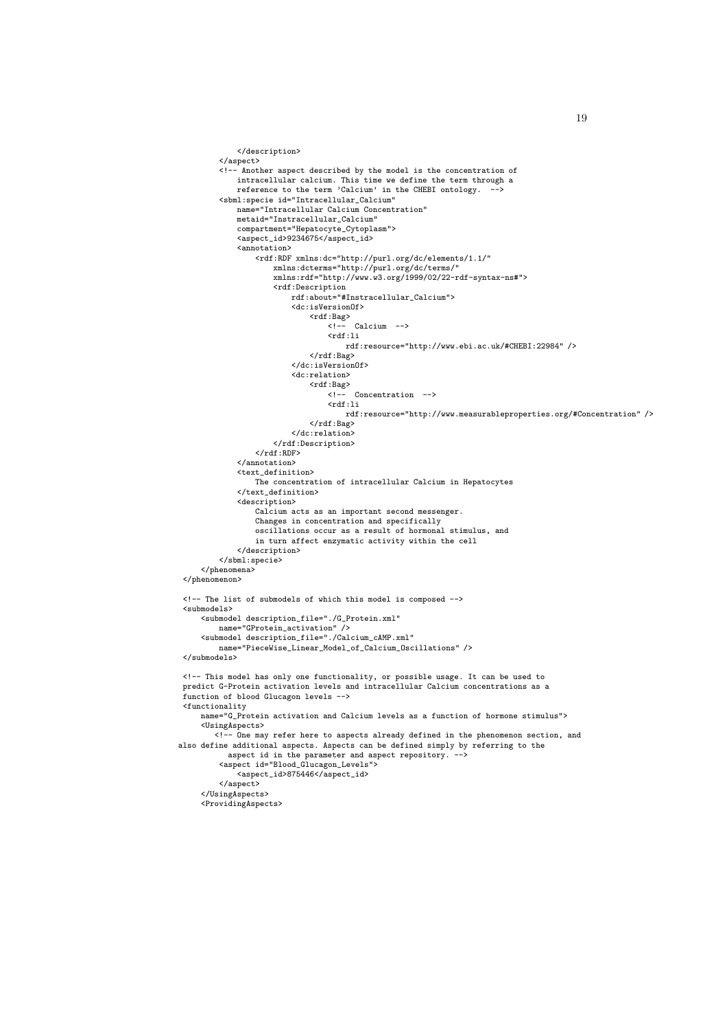```
</description>
         </aspect>
         <!-- Another aspect described by the model is the concentration of
               intracellular calcium. This time we define the term through a
reference to the term 'Calcium' in the CHEBI ontology. -->
          <sbml:specie id="Intracellular_Calcium"
              name="Intracellular Calcium Concentration"
              metaid="Instracellular_Calcium"
              compartment="Hepatocyte_Cytoplasm">
              <aspect_id>9234675</aspect_id>
              <annotation>
                   <rdf:RDF xmlns:dc="http://purl.org/dc/elements/1.1/"
xmlns:dcterms="http://purl.org/dc/terms/"
                        xmlns:rdf="http://www.w3.org/1999/02/22-rdf-syntax-ns#">
                        <rdf:Description
                            rdf:about="#Instracellular_Calcium">
                            <dc:isVersionOf>
                                 <rdf:Bag>
                                     \left\langle -\right\rangle \left\langle -\right\rangle \left\langle -\right\rangle<sub>rdf</sub>:li</sub>
                                          rdf:resource="http://www.ebi.ac.uk/#CHEBI:22984" />
                                 \langlerdf:Bag>
                            </dc:isVersionOf>
                            <dc:relation>
                                 ----<br><rdf:Bag><br><!--
                                           Concentration -->
                                     <rdf:li
                                          rdf:resource="http://www.measurableproperties.org/#Concentration" />
                                \langlerdf:Bag>
                            </dc:relation>
                        </rdf:Description>
                   \langlerdf:RDF>
              </annotation>
              <text_definition>
                   The concentration of intracellular Calcium in Hepatocytes
              </text_definition>
              <description>
                   Calcium acts as an important second messenger.
                   Changes in concentration and specifically
                   oscillations occur as a result of hormonal stimulus, and
                   in turn affect enzymatic activity within the cell
              </description>
         </sbml:specie>
     </phenomena>
</phenomenon>
<!-- The list of submodels of which this model is composed -->
<submodels>
     <submodel description_file="./G_Protein.xml"
         name="GProtein_activation" />
     <submodel description_file="./Calcium_cAMP.xml"
        name="PieceWise_Linear_Model_of_Calcium_Oscillations" />
</submodels>
 <!-- This model has only one functionality, or possible usage. It can be used to
predict G-Protein activation levels and intracellular Calcium concentrations as a
function of blood Glucagon levels -->
 <functionality
     name="G_Protein activation and Calcium levels as a function of hormone stimulus">
     <UsingAspects>
         <!-- One may refer here to aspects already defined in the phenomenon section, and
also define additional aspects. Aspects can be defined simply by referring to the
           aspect id in the parameter and aspect repository. -->
          <aspect id="Blood_Glucagon_Levels">
              <aspect_id>875446</aspect_id>
         </aspect>
     </UsingAspects>
     <ProvidingAspects>
```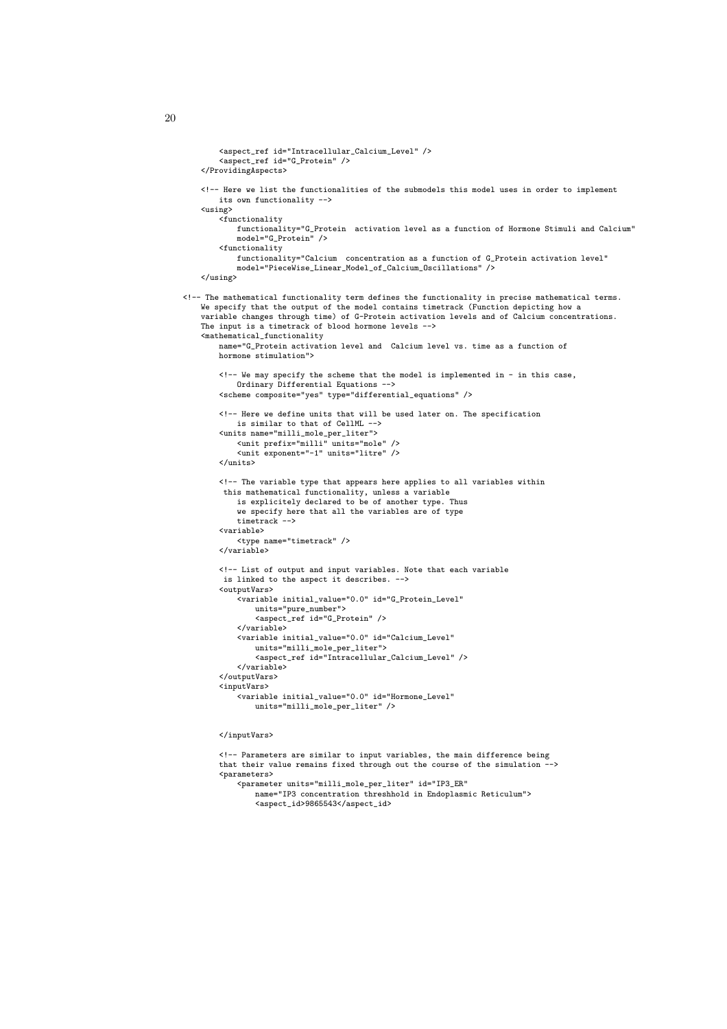```
<aspect_ref id="Intracellular_Calcium_Level" />
        <aspect_ref id="G_Protein" />
    </ProvidingAspects>
    <!-- Here we list the functionalities of the submodels this model uses in order to implement
        its own functionality -->
    <using>
        <functionality
            functionality="G_Protein activation level as a function of Hormone Stimuli and Calcium"
            model="G_Protein" />
        <functionality
           functionality="Calcium concentration as a function of G_Protein activation level"
            model="PieceWise_Linear_Model_of_Calcium_Oscillations" />
    </using>
<!-- The mathematical functionality term defines the functionality in precise mathematical terms.
    We specify that the output of the model contains timetrack (Function depicting how a
    variable changes through time) of G-Protein activation levels and of Calcium concentrations.
    The input is a timetrack of blood hormone levels -->
    <mathematical_functionality
        name="G_Protein activation level and Calcium level vs. time as a function of
        hormone stimulation">
        \leq - We may specify the scheme that the model is implemented in - in this case,
            Ordinary Differential Equations -->
        <scheme composite="yes" type="differential_equations" />
        <!-- Here we define units that will be used later on. The specification
is similar to that of CellML -->
        <units name="milli_mole_per_liter">
            <unit prefix="milli" units="mole" />
            <unit exponent="-1" units="litre" />
        </units>
        <!-- The variable type that appears here applies to all variables within
         this mathematical functionality, unless a variable
            is explicitely declared to be of another type. Thus
            we specify here that all the variables are of type
            timetrack -->
        <variable>
            <type name="timetrack" />
        </variable>
        <!-- List of output and input variables. Note that each variable
        is linked to the aspect it describes. -->
        <outputVars>
            <variable initial_value="0.0" id="G_Protein_Level"
                units="pure_number">
                <aspect_ref id="G_Protein" />
            </variable>
            <variable initial_value="0.0" id="Calcium_Level"
                units="milli_mole_per_liter">
                <aspect_ref id="Intracellular_Calcium_Level" />
            </variable>
        </outputVars>
        <inputVars>
            <variable initial_value="0.0" id="Hormone_Level"
                units="milli_mole_per_liter" />
```
</inputVars>

<!-- Parameters are similar to input variables, the main difference being that their value remains fixed through out the course of the simulation --> <parameters> <parameter units="milli\_mole\_per\_liter" id="IP3\_ER" name="IP3 concentration threshhold in Endoplasmic Reticulum"> <aspect\_id>9865543</aspect\_id>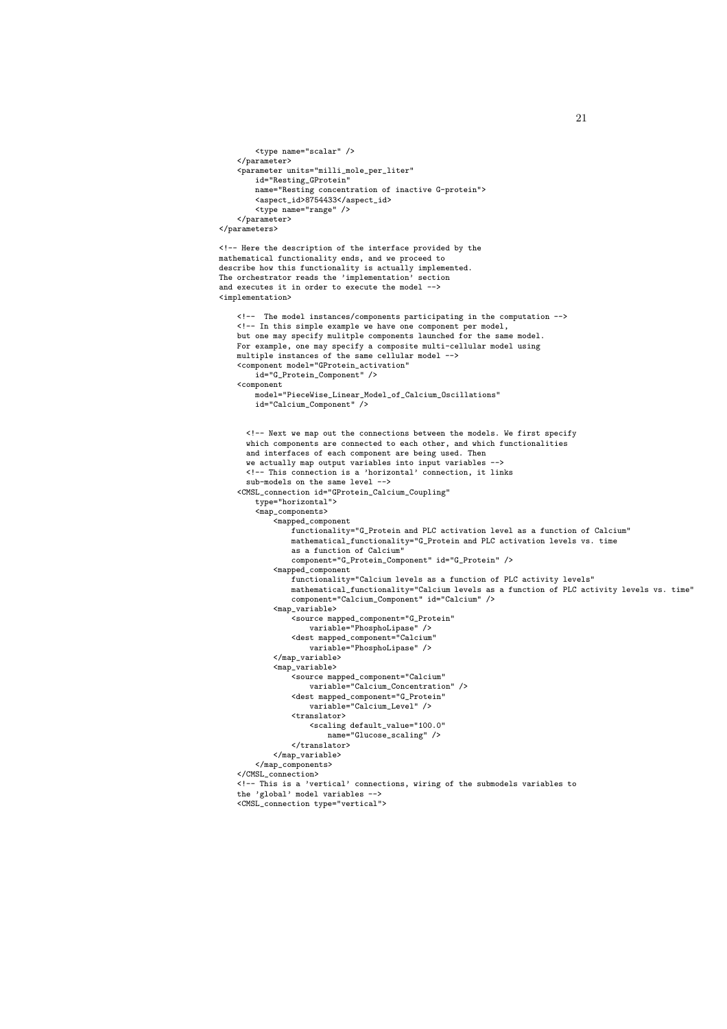```
<type name="scalar" />
    </parameter>
    <parameter units="milli_mole_per_liter"
        id="Resting_GProtein"
        name="Resting concentration of inactive G-protein">
        <aspect_id>8754433</aspect_id>
        <type name="range" />
    </parameter>
</parameters>
<!-- Here the description of the interface provided by the
mathematical functionality ends, and we proceed to
describe how this functionality is actually implemented.
The orchestrator reads the 'implementation' section
and executes it in order to execute the model -->
<implementation>
    <!-- The model instances/components participating in the computation -->
    <!-- In this simple example we have one component per model,
    but one may specify mulitple components launched for the same model.
    For example, one may specify a composite multi-cellular model using
    multiple instances of the same cellular model -->
    <component model="GProtein_activation"
id="G_Protein_Component" />
    <component
        model="PieceWise_Linear_Model_of_Calcium_Oscillations"
        id="Calcium_Component" />
      \zeta!-- Next we map out the connections between the models. We first specify
      which components are connected to each other, and which functionalities
      and interfaces of each component are being used. Then
      we actually map output variables into input variables -->
      <!-- This connection is a 'horizontal' connection, it links
    sub-models on the same level -->
<CMSL_connection id="GProtein_Calcium_Coupling"
        type="horizontal">
        <map_components>
             <mapped_component
                 functionality="G_Protein and PLC activation level as a function of Calcium"
                 mathematical_functionality="G_Protein and PLC activation levels vs. time
                 as a function of Calcium"
                 component="G_Protein_Component" id="G_Protein" />
             <mapped_component
                 functionality="Calcium levels as a function of PLC activity levels"
                 mathematical_functionality="Calcium levels as a function of PLC activity levels vs. time"
                 component="Calcium_Component" id="Calcium" />
             <map_variable>
                 <source mapped_component="G_Protein"
                 variable="PhosphoLipase" />
<dest mapped_component="Calcium"
                     variable="PhosphoLipase" />
             </map_variable>
             <map_variable>
                 <source mapped_component="Calcium"
                     variable="Calcium_Concentration" />
                 <dest mapped_component="G_Protein"
                     variable="Calcium_Level" />
                 <translator>
                     <scaling default_value="100.0"
                         name="Glucose_scaling" />
                 </translator>
             </map_variable>
        </map_components>
    </CMSL_connection>
    <!-- This is a 'vertical' connections, wiring of the submodels variables to
    the 'global' model variables -->
    <CMSL_connection type="vertical">
```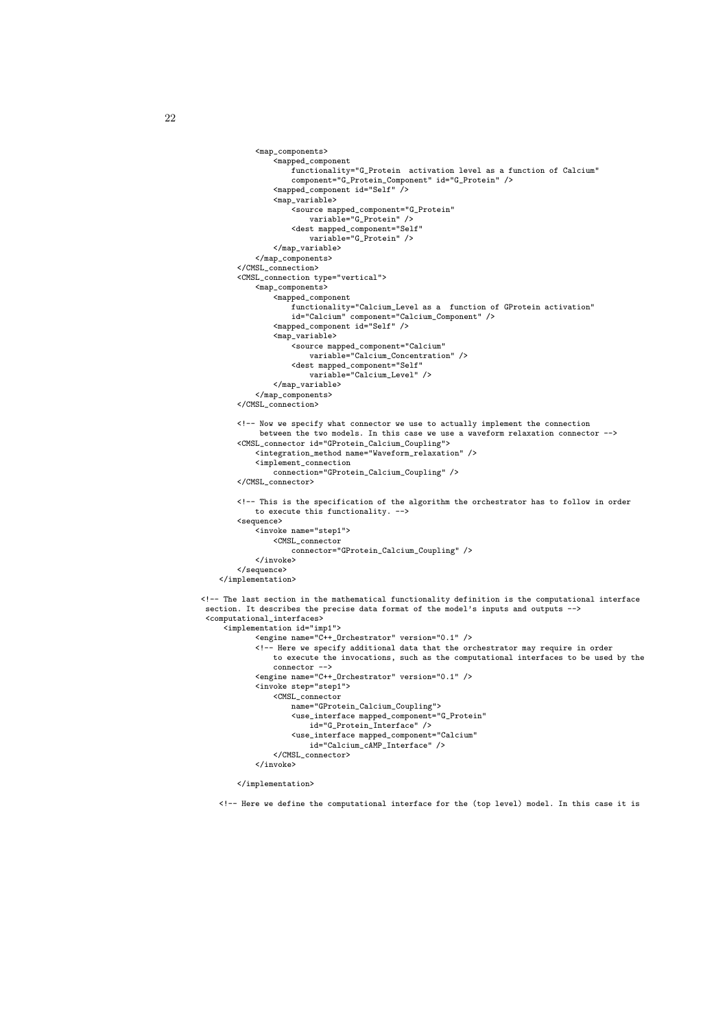```
<map_components>
                 <mapped_component
                     functionality="G_Protein activation level as a function of Calcium"
                 component="G_Protein_Component" id="G_Protein" />
<mapped_component id="Self" />
                 <map_variable>
                     <source mapped_component="G_Protein"
                         variable="G_Protein" />
                     <dest mapped_component="Self"
                        variable="G_Protein" />
                </map_variable>
            </map_components>
        </CMSL_connection>
        <CMSL_connection type="vertical">
            <map_components>
                 <mapped_component
                     functionality="Calcium_Level as a function of GProtein activation"
id="Calcium" component="Calcium_Component" />
                 <mapped_component id="Self" />
                 <map_variable>
                     <source mapped_component="Calcium"
                        variable="Calcium_Concentration" />
                     <dest mapped_component="Self"
variable="Calcium_Level" />
                </map_variable>
            </map_components>
        </CMSL_connection>
        <!-- Now we specify what connector we use to actually implement the connection
             between the two models. In this case we use a waveform relaxation connector -->
        <CMSL_connector id="GProtein_Calcium_Coupling">
            <integration_method name="Waveform_relaxation" />
            <implement_connection
                connection="GProtein_Calcium_Coupling" />
        </CMSL_connector>
        <!-- This is the specification of the algorithm the orchestrator has to follow in order
            to execute this functionality. -->
        <sequence>
            .<br><invoke name="step1">
                <CMSL_connector
                    connector="GProtein_Calcium_Coupling" />
            </invoke>
        </sequence>
    </implementation>
<!-- The last section in the mathematical functionality definition is the computational interface
section. It describes the precise data format of the model's inputs and outputs -->
 <computational_interfaces>
     <implementation id="imp1">
            <engine name="C++_Orchestrator" version="0.1" />
            <!-- Here we specify additional data that the orchestrator may require in order
                to execute the invocations, such as the computational interfaces to be used by the
                connector -->
            <engine name="C++_Orchestrator" version="0.1" />
            <invoke step="step1">
                <CMSL_connector
                     name="GProtein_Calcium_Coupling">
                     <use_interface mapped_component="G_Protein"
                        id="G_Protein_Interface" />
                     <use_interface mapped_component="Calcium"
                         id="Calcium_cAMP_Interface" />
                 </CMSL_connector>
            </invoke>
```
</implementation>

<!-- Here we define the computational interface for the (top level) model. In this case it is